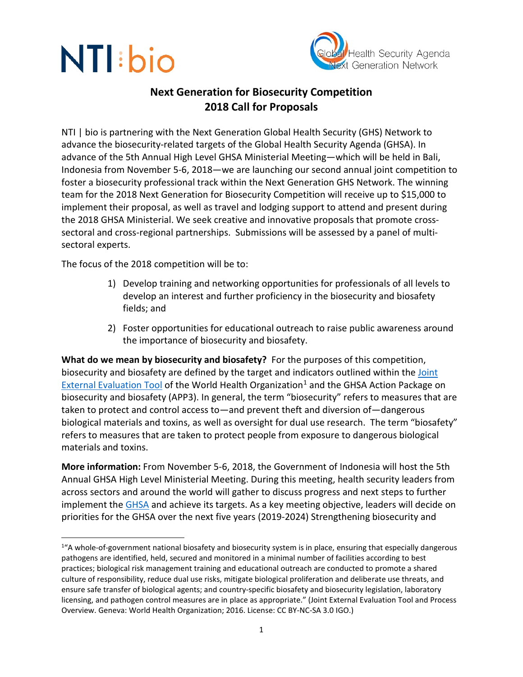

## **Next Generation for Biosecurity Competition 2018 Call for Proposals**

NTI | bio is partnering with the Next Generation Global Health Security (GHS) Network to advance the biosecurity-related targets of the Global Health Security Agenda (GHSA). In advance of the 5th Annual High Level GHSA Ministerial Meeting—which will be held in Bali, Indonesia from November 5-6, 2018—we are launching our second annual joint competition to foster a biosecurity professional track within the Next Generation GHS Network. The winning team for the 2018 Next Generation for Biosecurity Competition will receive up to \$15,000 to implement their proposal, as well as travel and lodging support to attend and present during the 2018 GHSA Ministerial. We seek creative and innovative proposals that promote crosssectoral and cross-regional partnerships.Submissions will be assessed by a panel of multisectoral experts.

The focus of the 2018 competition will be to:

- 1) Develop training and networking opportunities for professionals of all levels to develop an interest and further proficiency in the biosecurity and biosafety fields; and
- 2) Foster opportunities for educational outreach to raise public awareness around the importance of biosecurity and biosafety.

**What do we mean by biosecurity and biosafety?** For the purposes of this competition, biosecurity and biosafety are defined by the target and indicators outlined within the [Joint](http://apps.who.int/iris/bitstream/handle/10665/204368/9789241510172_eng.pdf;jsessionid=8D66A9D7222FB680384D45B7A7E21826?sequence=1)  [External Evaluation Tool](http://apps.who.int/iris/bitstream/handle/10665/204368/9789241510172_eng.pdf;jsessionid=8D66A9D7222FB680384D45B7A7E21826?sequence=1) of the World Health Organization<sup>1</sup> and the GHSA Action Package on biosecurity and biosafety (APP3). In general, the term "biosecurity" refers to measures that are taken to protect and control access to—and prevent theft and diversion of—dangerous biological materials and toxins, as well as oversight for dual use research. The term "biosafety" refers to measures that are taken to protect people from exposure to dangerous biological materials and toxins.

**More information:** From November 5-6, 2018, the Government of Indonesia will host the 5th Annual GHSA High Level Ministerial Meeting. During this meeting, health security leaders from across sectors and around the world will gather to discuss progress and next steps to further implement the [GHSA](https://www.ghsagenda.org/) and achieve its targets. As a key meeting objective, leaders will decide on priorities for the GHSA over the next five years (2019-2024) Strengthening biosecurity and

<span id="page-0-0"></span> $\overline{1}$ <sup>1</sup>"A whole-of-government national biosafety and biosecurity system is in place, ensuring that especially dangerous pathogens are identified, held, secured and monitored in a minimal number of facilities according to best practices; biological risk management training and educational outreach are conducted to promote a shared culture of responsibility, reduce dual use risks, mitigate biological proliferation and deliberate use threats, and ensure safe transfer of biological agents; and country-specific biosafety and biosecurity legislation, laboratory licensing, and pathogen control measures are in place as appropriate." (Joint External Evaluation Tool and Process Overview. Geneva: World Health Organization; 2016. License: CC BY-NC-SA 3.0 IGO.)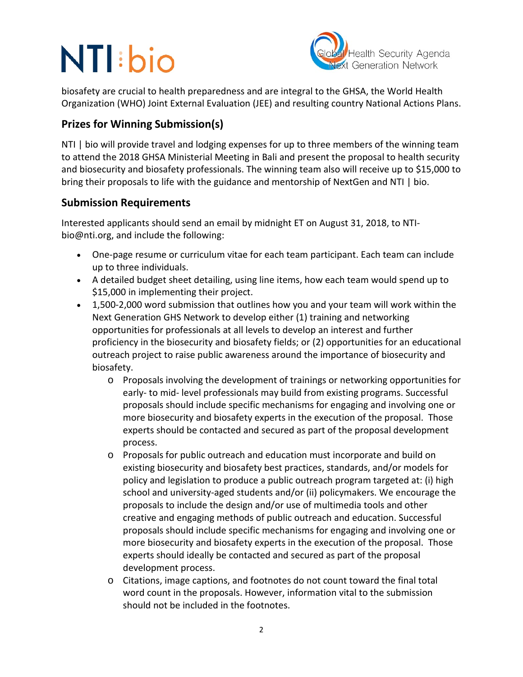

biosafety are crucial to health preparedness and are integral to the GHSA, the World Health Organization (WHO) Joint External Evaluation (JEE) and resulting country National Actions Plans.

## **Prizes for Winning Submission(s)**

NTI | bio will provide travel and lodging expenses for up to three members of the winning team to attend the 2018 GHSA Ministerial Meeting in Bali and present the proposal to health security and biosecurity and biosafety professionals. The winning team also will receive up to \$15,000 to bring their proposals to life with the guidance and mentorship of NextGen and NTI | bio.

### **Submission Requirements**

Interested applicants should send an email by midnight ET on August 31, 2018, to NTIbio@nti.org, and include the following:

- One-page resume or curriculum vitae for each team participant. Each team can include up to three individuals.
- A detailed budget sheet detailing, using line items, how each team would spend up to \$15,000 in implementing their project.
- 1,500-2,000 word submission that outlines how you and your team will work within the Next Generation GHS Network to develop either (1) training and networking opportunities for professionals at all levels to develop an interest and further proficiency in the biosecurity and biosafety fields; or (2) opportunities for an educational outreach project to raise public awareness around the importance of biosecurity and biosafety.
	- o Proposals involving the development of trainings or networking opportunities for early- to mid- level professionals may build from existing programs. Successful proposals should include specific mechanisms for engaging and involving one or more biosecurity and biosafety experts in the execution of the proposal. Those experts should be contacted and secured as part of the proposal development process.
	- o Proposals for public outreach and education must incorporate and build on existing biosecurity and biosafety best practices, standards, and/or models for policy and legislation to produce a public outreach program targeted at: (i) high school and university-aged students and/or (ii) policymakers. We encourage the proposals to include the design and/or use of multimedia tools and other creative and engaging methods of public outreach and education. Successful proposals should include specific mechanisms for engaging and involving one or more biosecurity and biosafety experts in the execution of the proposal. Those experts should ideally be contacted and secured as part of the proposal development process.
	- o Citations, image captions, and footnotes do not count toward the final total word count in the proposals. However, information vital to the submission should not be included in the footnotes.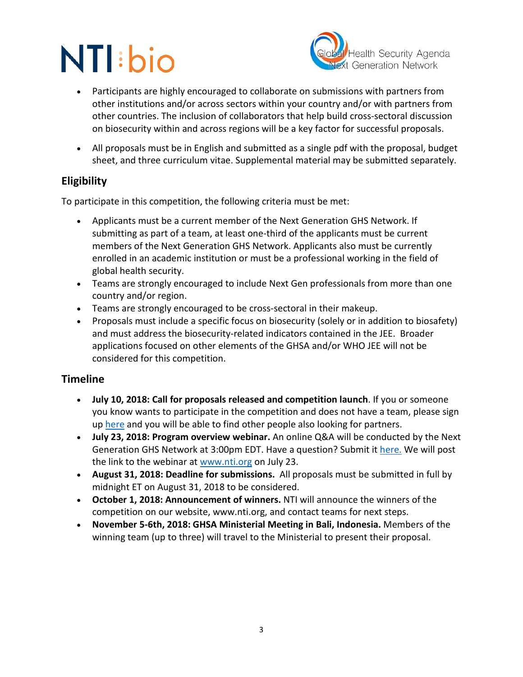

- Participants are highly encouraged to collaborate on submissions with partners from other institutions and/or across sectors within your country and/or with partners from other countries. The inclusion of collaborators that help build cross-sectoral discussion on biosecurity within and across regions will be a key factor for successful proposals.
- All proposals must be in English and submitted as a single pdf with the proposal, budget sheet, and three curriculum vitae. Supplemental material may be submitted separately.

## **Eligibility**

To participate in this competition, the following criteria must be met:

- Applicants must be a current member of the Next Generation GHS Network. If submitting as part of a team, at least one-third of the applicants must be current members of the Next Generation GHS Network. Applicants also must be currently enrolled in an academic institution or must be a professional working in the field of global health security.
- Teams are strongly encouraged to include Next Gen professionals from more than one country and/or region.
- Teams are strongly encouraged to be cross-sectoral in their makeup.
- Proposals must include a specific focus on biosecurity (solely or in addition to biosafety) and must address the biosecurity-related indicators contained in the JEE. Broader applications focused on other elements of the GHSA and/or WHO JEE will not be considered for this competition.

## **Timeline**

- **July 10, 2018: Call for proposals released and competition launch**. If you or someone you know wants to participate in the competition and does not have a team, please sign up [here](https://docs.google.com/forms/d/e/1FAIpQLSdtfjhR5jageLkiJ8LulbOwTB9RaB6Gy7Yv3W1nk8PmCe5ZvQ/viewform?c=0&w=1) and you will be able to find other people also looking for partners.
- **July 23, 2018: Program overview webinar.** An online Q&A will be conducted by the Next Generation GHS Network at 3:00pm EDT. Have a question? Submit it [here.](https://docs.google.com/forms/d/e/1FAIpQLSe1XmQcmJ9r1NvnvwNc24h6zFhbaqgG3t4UAwSbwFloadSizQ/viewform?c=0&w=1) We will post the link to the webinar at [www.nti.org](http://www.nti.org/) on July 23.
- **August 31, 2018: Deadline for submissions.** All proposals must be submitted in full by midnight ET on August 31, 2018 to be considered.
- **October 1, 2018: Announcement of winners.** NTI will announce the winners of the competition on our website, www.nti.org, and contact teams for next steps.
- **November 5-6th, 2018: GHSA Ministerial Meeting in Bali, Indonesia.** Members of the winning team (up to three) will travel to the Ministerial to present their proposal.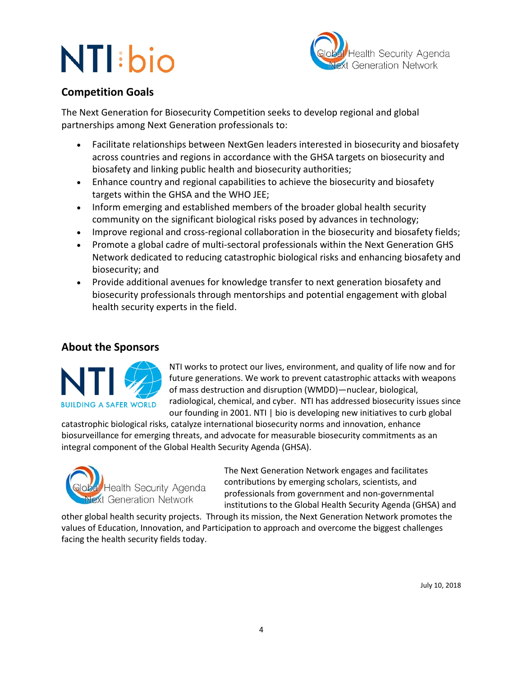

## **Competition Goals**

The Next Generation for Biosecurity Competition seeks to develop regional and global partnerships among Next Generation professionals to:

- Facilitate relationships between NextGen leaders interested in biosecurity and biosafety across countries and regions in accordance with the GHSA targets on biosecurity and biosafety and linking public health and biosecurity authorities;
- Enhance country and regional capabilities to achieve the biosecurity and biosafety targets within the GHSA and the WHO JEE;
- Inform emerging and established members of the broader global health security community on the significant biological risks posed by advances in technology;
- Improve regional and cross-regional collaboration in the biosecurity and biosafety fields;
- Promote a global cadre of multi-sectoral professionals within the Next Generation GHS Network dedicated to reducing catastrophic biological risks and enhancing biosafety and biosecurity; and
- Provide additional avenues for knowledge transfer to next generation biosafety and biosecurity professionals through mentorships and potential engagement with global health security experts in the field.

## **About the Sponsors**



NTI works to protect our lives, environment, and quality of life now and for future generations. We work to prevent catastrophic attacks with weapons of mass destruction and disruption (WMDD)—nuclear, biological, radiological, chemical, and cyber. NTI has addressed biosecurity issues since our founding in 2001. NTI | bio is developing new initiatives to curb global

catastrophic biological risks, catalyze international biosecurity norms and innovation, enhance biosurveillance for emerging threats, and advocate for measurable biosecurity commitments as an integral component of the Global Health Security Agenda (GHSA).



The Next Generation Network engages and facilitates contributions by emerging scholars, scientists, and professionals from government and non-governmental institutions to the Global Health Security Agenda (GHSA) and

other global health security projects. Through its mission, the Next Generation Network promotes the values of Education, Innovation, and Participation to approach and overcome the biggest challenges facing the health security fields today.

July 10, 2018